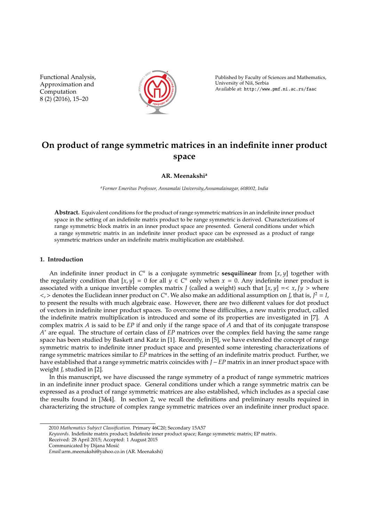Functional Analysis, Approximation and Computation 8 (2) (2016), 15–20



Published by Faculty of Sciences and Mathematics, University of Nis, Serbia ˇ Available at: http://www.pmf.ni.ac.rs/faac

# **On product of range symmetric matrices in an indefinite inner product space**

**AR. Meenakshi<sup>a</sup>**

*<sup>a</sup>Former Emeritus Professor, Annamalai University,Annamalainagar, 608002, India*

**Abstract.** Equivalent conditions for the product of range symmetric matrices in an indefinite inner product space in the setting of an indefinite matrix product to be range symmetric is derived. Characterizations of range symmetric block matrix in an inner product space are presented. General conditions under which a range symmetric matrix in an indefinite inner product space can be expressed as a product of range symmetric matrices under an indefinite matrix multiplication are established.

### **1. Introduction**

An indefinite inner product in  $C<sup>n</sup>$  is a conjugate symmetric **sesquilinear** from [x, y] together with the regularity condition that  $[x, y] = 0$  for all  $y \in C^n$  only when  $x = 0$ . Any indefinite inner product is associated with a unique invertible complex matrix *J* (called a weight) such that  $[x, y] = \langle x, y \rangle$  where  $\lt$ ,  $>$  denotes the Euclidean inner product on  $C^n$ . We also make an additional assumption on *J*, that is,  $J^2 = I$ , to present the results with much algebraic ease. However, there are two different values for dot product of vectors in indefinite inner product spaces. To overcome these difficulties, a new matrix product, called the indefinite matrix multiplication is introduced and some of its properties are investigated in [7]. A complex matrix *A* is said to be *EP* if and only if the range space of *A* and that of its conjugate transpose *A* <sup>∗</sup> are equal. The structure of certain class of *EP* matrices over the complex field having the same range space has been studied by Baskett and Katz in [1]. Recently, in [5], we have extended the concept of range symmetric matrix to indefinite inner product space and presented some interesting characterizations of range symmetric matrices similar to *EP* matrices in the setting of an indefinite matrix product. Further, we have established that a range symmetric matrix coincides with *J* −*EP* matrix in an inner product space with weight *J*, studied in [2].

In this manuscript, we have discussed the range symmetry of a product of range symmetric matrices in an indefinite inner product space. General conditions under which a range symmetric matrix can be expressed as a product of range symmetric matrices are also established, which includes as a special case the results found in [3&4]. In section 2, we recall the definitions and preliminary results required in characterizing the structure of complex range symmetric matrices over an indefinite inner product space.

<sup>2010</sup> *Mathematics Subject Classification*. Primary 46C20; Secondary 15A57

*Keywords*. Indefinite matrix product; Indefinite inner product space; Range symmetric matrix; EP matrix. Received: 28 April 2015; Accepted: 1 August 2015

Communicated by Dijana Mosic´

*Email:*arm meenakshi@yahoo.co.in (AR. Meenakshi)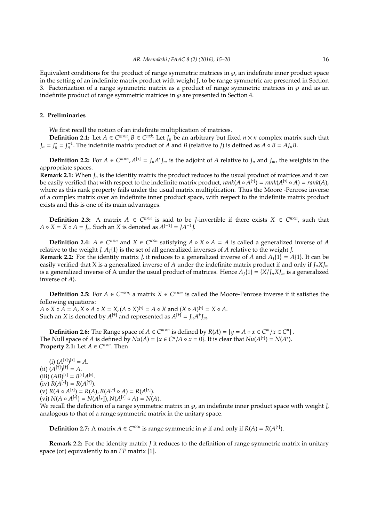Equivalent conditions for the product of range symmetric matrices in  $\varphi$ , an indefinite inner product space in the setting of an indefinite matrix product with weight J, to be range symmetric are presented in Section 3. Factorization of a range symmetric matrix as a product of range symmetric matrices in  $\varphi$  and as an indefinite product of range symmetric matrices in  $\varphi$  are presented in Section 4.

## **2. Preliminaries**

We first recall the notion of an indefinite multiplication of matrices.

**Definition 2.1:** Let  $A \in C^{m \times n}$ ,  $B \in C^{n \times k}$ . Let  $J_n$  be an arbitrary but fixed  $n \times n$  complex matrix such that  $J_n = J_n^* = J_n^{-1}$ . The indefinite matrix product of *A* and *B* (relative to *J*) is defined as  $A \circ B = A J_n B$ .

**Definition 2.2:** For  $A \in C^{m \times n}$ ,  $A^{[*]} = J_n A^* J_m$  is the adjoint of  $A$  relative to  $J_n$  and  $J_m$ , the weights in the appropriate spaces.

**Remark 2.1:** When *J<sup>n</sup>* is the identity matrix the product reduces to the usual product of matrices and it can be easily verified that with respect to the indefinite matrix product,  $rank(A \circ \overline{A}^{[*]}) = rank(A^{[*]} \circ A) = rank(A)$ , where as this rank property fails under the usual matrix multiplication. Thus the Moore -Penrose inverse of a complex matrix over an indefinite inner product space, with respect to the indefinite matrix product exists and this is one of its main advantages.

**Definition 2.3:** A matrix  $A \in C^{n \times n}$  is said to be *J*-invertible if there exists  $X \in C^{n \times n}$ , such that *A* ∘ *X* = *X* ∘ *A* = *J*<sub>*n*</sub>. Such an *X* is denoted as  $A^{[-1]} = JA^{-1}J$ .

**Definition 2.4:**  $A \in C^{n \times n}$  and  $X \in C^{n \times n}$  satisfying  $A \circ X \circ A = A$  is called a generalized inverse of *A* relative to the weight *J*.  $A<sub>I</sub>{1}$  is the set of all generalized inverses of *A* relative to the weight *J*. **Remark 2.2:** For the identity matrix *J*, it reduces to a generalized inverse of *A* and  $A_1\{1\} = A\{1\}$ . It can be easily verified that X is a generalized inverse of *A* under the indefinite matrix product if and only if *JnXJ<sup>m</sup>* is a generalized inverse of A under the usual product of matrices. Hence  $A_I\{1\} = \{X/I_nX\}_{n}$  is a generalized inverse of *A*}.

**Definition 2.5:** For *A* ∈  $C^{m \times n}$ , a matrix *X* ∈  $C^{n \times m}$  is called the Moore-Penrose inverse if it satisfies the following equations:

*A* ◦ *X* ◦ *A* =  $A$ , *X* ◦ *A* ◦ *X* = *X*, (*A* ◦ *X*)<sup>[∗]</sup> = *A* ◦ *X* and (*X* ◦ *A*)<sup>[∗]</sup> = *X* ◦ *A*. Such an *X* is denoted by  $A^{[+]}$  and represented as  $A^{[+]} = J_n A^{\dagger} J_m$ .

**Definition 2.6:** The Range space of  $A \in C^{m \times n}$  is defined by  $R(A) = \{y = A \circ x \in C^m / x \in C^n\}$ . The Null space of *A* is defined by  $Nu(A) = \{x \in C^n / A \circ x = 0\}$ . It is clear that  $Nu(A^{[*]}) = N(A^*)$ . **Property 2.1:** Let  $A \in C^{n \times n}$ . Then

(i)  $(A^{[*]})^{[*]} = A$ .  $(iii) (A^{[+]})^{[+]} = A.$  $(iii) (AB)^{[*]} = B^{[*]}A^{[*]}.$  $f(iv) R(A^{[*]}) = R(A^{[*]})$ . (v)  $R(A \circ A^{[*]}) = R(A), R(A^{[*] \circ A}) = R(A^{[*]}).$  $(Vi) N(A \circ A^{[*]}) = N(A^{[*]})$ ,  $N(A^{[*] \circ A}) = N(A)$ .

We recall the definition of a range symmetric matrix in  $\wp$ , an indefinite inner product space with weight *J*, analogous to that of a range symmetric matrix in the unitary space.

**Definition 2.7:** A matrix  $A \in C^{n \times n}$  is range symmetric in  $\varphi$  if and only if  $R(A) = R(A^{[*]})$ .

**Remark 2.2:** For the identity matrix *J* it reduces to the definition of range symmetric matrix in unitary space (or) equivalently to an *EP* matrix [1].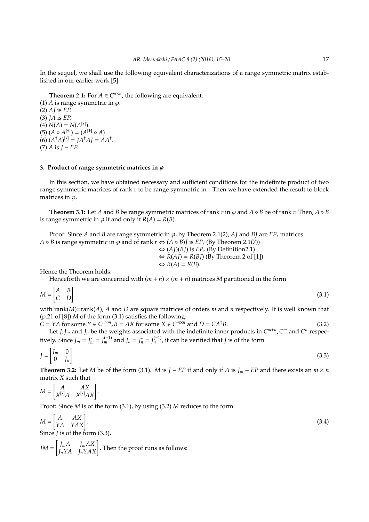In the sequel, we shall use the following equivalent characterizations of a range symmetric matrix established in our earlier work [5].

**Theorem 2.1:** For  $A \in C^{n \times n}$ , the following are equivalent:

(1) *A* is range symmetric in  $\varphi$ . (2) *AJ* is *EP*. (3) *JA* is *EP*. (4)  $N(A) = N(A^{[*]})$ .  $(A \circ A^{[+]} ) = (A^{[+]} \circ A)$  $(A^{\dagger}A)^{[*]} = JA^{\dagger}AI = AA^{\dagger}.$  $(7)$  *A* is  $I - EP$ .

### **3. Product of range symmetric matrices in**  $\varphi$

In this section, we have obtained necessary and sufficient conditions for the indefinite product of two range symmetric matrices of rank r to be range symmetric in . Then we have extended the result to block matrices in  $\varnothing$ .

**Theorem 3.1:** Let *A* and *B* be range symmetric matrices of rank *r* in  $\varphi$  and  $A \circ B$  be of rank *r*. Then,  $A \circ B$ is range symmetric in  $\varphi$  if and only if  $R(A) = R(B)$ .

Proof: Since *A* and *B* are range symmetric in  $\varphi$ , by Theorem 2.1(2), *AI* and *BI* are *EP<sub>r</sub>* matrices. *A*  $\circ$  *B* is range symmetric in  $\wp$  and of rank  $r \Leftrightarrow (A \circ B)$ *j* is  $EP_r$  (By Theorem 2.1(7)) ⇔ (*AJ*)(*BJ*) is *EP<sup>r</sup>* (By Definition2.1)  $\Leftrightarrow$  *R*(*AJ*) = *R*(*BJ*) (By Theorem 2 of [1])  $\Leftrightarrow$   $R(A) = R(B)$ .

Hence the Theorem holds.

Henceforth we are concerned with  $(m + n) \times (m + n)$  matrices *M* partitioned in the form

$$
M = \begin{bmatrix} A & B \\ C & D \end{bmatrix} \tag{3.1}
$$

with rank(*M*)=rank(*A*), *A* and *D* are square matrices of orders *m* and *n* respectively. It is well known that (p.21 of [8]) *M* of the form (3.1) satisfies the following:

 $\tilde{C} = YA$  for some  $Y \in C^{n \times m}$ ,  $B = AX$  for some  $X \in C^{m \times n}$  and  $D = CA^{\dagger}B$ . (3.2) Let *J*, *J*<sub>*m*</sub> and *J*<sub>*n*</sub> be the weights associated with the indefinite inner products in  $C^{m+n}$ ,  $C^m$  and  $C^n$  respectively. Since  $J_m = J_m^* = J_m^{(-1)}$  and  $J_n = J_n^* = J_n^{(-1)}$ , it can be verified that *J* is of the form

$$
J = \begin{bmatrix} J_m & 0 \\ 0 & J_n \end{bmatrix} \tag{3.3}
$$

**Theorem 3.2:** Let *M* be of the form (3.1). *M* is  $J - EP$  if and only if *A* is  $J_m - EP$  and there exists an  $m \times n$ matrix *X* such that

$$
M = \begin{bmatrix} A & AX \\ X^{[*]}A & X^{[*]}AX \end{bmatrix}.
$$

Proof: Since *M* is of the form (3.1), by using (3.2) *M* reduces to the form

$$
M = \begin{bmatrix} A & AX \\ YA & YAX \end{bmatrix}.
$$
  
Since *J* is of the form (3.3), (3.4)

$$
JM = \begin{bmatrix} J_m A & J_m A X \\ J_n Y A & J_n Y A X \end{bmatrix}.
$$
 Then the proof runs as follows: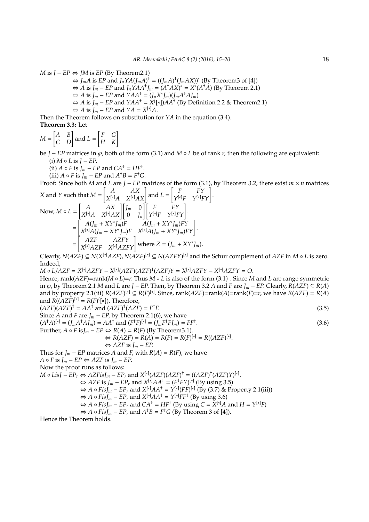*M* is  $I - EP \Leftrightarrow IM$  is  $EP$  (By Theorem 2.1)

 $\Leftrightarrow$  *J<sub>m</sub>A* is *EP* and *J<sub>n</sub>YA*(*J<sub>m</sub>A*)<sup>†</sup> = ((*J<sub>m</sub>A*)<sup>†</sup>(*J<sub>m</sub>AX*))<sup>\*</sup> (By Theorem3 of [4])  $\Leftrightarrow$  *A* is *J<sub>m</sub>* − *EP* and *J<sub>n</sub>*Y*AA*<sup>†</sup>*J<sub>m</sub>* = (*A*<sup>†</sup>*AX*)<sup>\*</sup> = *X*<sup>\*</sup>(*A*<sup>†</sup>*A*) (By Theorem 2.1)  $\Leftrightarrow$  *A* is *J<sub>m</sub>* − *EP* and *YAA*<sup>†</sup> = (*J<sub>n</sub>X*<sup>\*</sup>*J<sub>m</sub>*)(*J<sub>m</sub>A*<sup>†</sup>*AJ*<sub>*m*</sub>)  $\Leftrightarrow$  *A* is *J<sub>m</sub>* − *EP* and *YAA*<sup>†</sup> = *X*<sup>(</sup>[\*])*AA*<sup>†</sup> (By Definition 2.2 & Theorem2.1)  $\Leftrightarrow$  *A* is *J<sub>m</sub>* − *EP* and *YA* = *X*<sup>[\*]</sup>*A*.

Then the Theorem follows on substitution for *YA* in the equation (3.4). **Theorem 3.3:** Let

$$
M = \begin{bmatrix} A & B \\ C & D \end{bmatrix}
$$
 and  $L = \begin{bmatrix} F & G \\ H & K \end{bmatrix}$ 

be *J* − *EP* matrices in ℘, both of the form (3.1) and *M* ◦ *L* be of rank *r*, then the following are equivalent:  $(i)$  *M*  $\circ$  *L* is  $J - EP$ .

(ii)  $A \circ F$  is  $J_m - EP$  and  $CA^{\dagger} = HF^{\dagger}$ .

(iii)  $A \circ F$  is  $J_m - EP$  and  $A^{\dagger}B = F^{\dagger}G$ .

Proof: Since both *M* and *L* are *J* − *EP* matrices of the form (3.1), by Theorem 3.2, there exist *m* × *n* matrices

X and Y such that 
$$
M = \begin{bmatrix} A & AX \\ X^{[*]}A & X^{[*]}AX \end{bmatrix}
$$
 and  $L = \begin{bmatrix} F & FY \\ Y^{[*]}F & Y^{[*]}FY \end{bmatrix}$ .  
\nNow,  $M \circ L = \begin{bmatrix} A & AX \\ X^{[*]}A & X^{[*]}AX \end{bmatrix} \begin{bmatrix} J_m & 0 \\ 0 & J_n \end{bmatrix} \begin{bmatrix} F & FY \\ Y^{[*]}F & Y^{[*]}FY \end{bmatrix}$ .  
\n
$$
= \begin{bmatrix} A(J_m + XY^*J_m)F & A(J_m + XY^*J_m)FY \\ X^{[*]}A(J_m + XY^*J_m)F & X^{[*]}A(J_m + XY^*J_m)FY \end{bmatrix}
$$
\n
$$
= \begin{bmatrix} AZF & AZFY \\ X^{[*]}AZF & X^{[*]}AZFY \end{bmatrix}
$$
 where  $Z = (J_m + XY^*J_m)$ .

Clearly,  $N(AZF) ⊆ N(X<sup>[∗]</sup>AZF)$ ,  $N(AZF)<sup>[∗]</sup> ⊆ N(AZFY)<sup>[∗]</sup>$  and the Schur complement of *AZF* in *M* ∘ *L* is zero. Indeed,

*M* ◦ *L*/*AZF* = *X* [∗]*AZFY* − *X* [∗] (*AZF*)(*AZF*) † (*AZF*)*Y* = *X* [∗]*AZFY* − *X* [∗]*AZFY* = *O*. Hence, rank(*AZF*)=rank(*M* ◦ *L*)=*r*. Thus *M* ◦ *L* is also of the form (3.1) . Since *M* and *L* are range symmetric in  $\wp$ , by Theorem 2.1 *M* and *L* are *J* − *EP*. Then, by Theorem 3.2 *A* and *F* are *J<sub>m</sub>* − *EP*. Clearly, *R*(*AZF*) ⊆ *R*(*A*) and by property 2.1(iii)  $R(AZF)^{[*]} \subseteq R(F)^{[*]}$ . Since, rank( $AZF$ )=rank( $A$ )=rank( $F$ )= $r$ , we have  $R(AZF) = R(A)$ and  $R((\overline{AZF})^{[*]} = R(F)^{([\ast]})$ . Therefore,  $(AZF)(AZF)^{\dagger} = AA^{\dagger}$  and  $(AZF)^{\dagger}(AZF) = F$ †*F*. (3.5) Since *A* and *F* are  $J_m$  − *EP*, by Theorem 2.1(6), we have  $(A^{\dagger}A)^{[*]} = (J_mA^{\dagger}A J_m) = AA^{\dagger}$  and  $(F^{\dagger}F)^{[*]} = (J_mF^{\dagger}F J_m) = FF^{\dagger}$ .  $(3.6)$ Further,  $A \circ F$  is $J_m - EP \Leftrightarrow R(A) = R(F)$  (By Theorem 3.1).  $\Leftrightarrow$  *R*(*AZF*) = *R*(*A*) = *R*(*F*) = *R*(*F*)<sup>[∗]</sup> = *R*((*AZF*)<sup>[∗]</sup>.  $\Leftrightarrow$  *AZF* is *J<sub>m</sub>* − *EP*. Thus for  $J_m - EP$  matrices *A* and *F*, with  $R(A) = R(F)$ , we have *A* ◦ *F* is  $J_m$  − *EP* ⇔ *AZF* is  $J_m$  − *EP*. Now the proof runs as follows: *M* ∘ *Lis*J − *EP*<sup>*r*</sup> ⇔ *AZFis*J<sub>*m*</sub> − *EP*<sup>*r*</sup> and  $X^{[*]}(AZF)(AZF)^{+} = ((AZF)^{+}(AZF)Y)^{[*]}$ .  $\Leftrightarrow$  *AZF* is *J<sub>m</sub>* − *EP<sub>r</sub>* and *X*<sup>[∗]</sup>*AA*<sup>†</sup> = (*F*<sup>†</sup>*FY*)<sup>[∗]</sup> (By using 3.5)  $\Leftrightarrow$  *A* ◦ *Fis*J<sub>*m*</sub> − *EP*<sub>*r*</sub> and  $X^{[*]}AA^{\dagger} = Y^{[*]}(FF)^{[*]}$  (By (3.7) & Property 2.1(iii))

$$
\Leftrightarrow A \circ FisJ_m - EP_r \text{ and } X^{[*]}AA^+ = Y^{[*]}FF^+(By using 3.6)
$$

$$
\Leftrightarrow
$$
 *A*  $\circ$  *FisJ<sub>m</sub>* – *EP<sub>r</sub>* and *CA*<sup>+</sup> = *HF*<sup>+</sup> (By using *C* =  $\bar{X}^{[*]}$ *A* and *H* =  $Y^{[*]}F$ )

 $\Leftrightarrow$  *A* ◦ *FisJ*<sub>*m*</sub> − *EP*<sub>*r*</sub> and *A*<sup>+</sup>*B* = *F*<sup>+</sup>*G* (By Theorem 3 of [4]).

Hence the Theorem holds.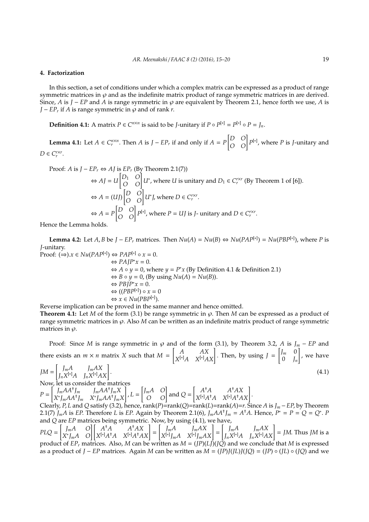#### **4. Factorization**

In this section, a set of conditions under which a complex matrix can be expressed as a product of range symmetric matrices in  $\wp$  and as the indefinite matrix product of range symmetric matrices in are derived. Since, *A* is *J* − *EP* and *A* is range symmetric in  $\varphi$  are equivalent by Theorem 2.1, hence forth we use, *A* is *J* − *EP*<sup>*r*</sup> if *A* is range symmetric in  $\wp$  and of rank *r*.

**Definition 4.1:** A matrix  $P \in C^{n \times n}$  is said to be *J*-unitary if  $P \circ P^{[*]} = P^{[*]} \circ P = J_n$ .

**Lemma 4.1:** Let  $A \in C_r^{n \times n}$ . Then  $A$  is  $J - EP_r$  if and only if  $A = P$  $\begin{bmatrix} D & O \\ O & O \end{bmatrix} P^{[*]}$ , where *P* is *J*-unitary and  $D \in C_r^{r \times r}$ .

Proof: *A* is 
$$
J - EP_r \Leftrightarrow AJ
$$
 is  $EP_r$  (By Theorem 2.1(7))  
\n $\Leftrightarrow AJ = U \begin{bmatrix} D_1 & O \\ O & O \end{bmatrix} U^*$ , where *U* is unitary and  $D_1 \in C_r^{r \times r}$  (By Theorem 1 of [6]).  
\n $\Leftrightarrow A = (UJ) \begin{bmatrix} D & O \\ O & O \end{bmatrix} U^*$ , where  $D \in C_r^{r \times r}$ .  
\n $\Leftrightarrow A = P \begin{bmatrix} D & O \\ O & O \end{bmatrix} P^{[*]}$ , where  $P = UJ$  is *J*- unitary and  $D \in C_r^{r \times r}$ .

Hence the Lemma holds.

**Lemma 4.2:** Let *A*, *B* be *J* − *EP*<sub>*r*</sub> matrices. Then  $Nu(A) = Nu(B) \Leftrightarrow Nu(PAP^{[*]}) = Nu(PBP^{[*]})$ , where *P* is *J*-unitary. Proof:  $(\Rightarrow).x \in Nu(PAP^{[*]}) \Leftrightarrow PAP^{[*]} \circ x = 0.$ 

$$
\Rightarrow PAP^*x = 0.
$$
  
\n
$$
\Rightarrow PAP^*x = 0.
$$
  
\n
$$
\Rightarrow A \circ y = 0, \text{ where } y = P^*x \text{ (By Definition 4.1 & Definition 2.1)}
$$
  
\n
$$
\Rightarrow B \circ y = 0, \text{ (By using } Nu(A) = Nu(B)).
$$
  
\n
$$
\Rightarrow PBP^*x = 0.
$$
  
\n
$$
\Rightarrow ((PBP^{[*]}) \circ x = 0
$$
  
\n
$$
\Rightarrow x \in Nu(PBP^{[*]}).
$$

Reverse implication can be proved in the same manner and hence omitted.

**Theorem 4.1:** Let *M* of the form (3.1) be range symmetric in  $\varphi$ . Then *M* can be expressed as a product of range symmetric matrices in  $\wp$ . Also *M* can be written as an indefinite matrix product of range symmetric matrices in  $\varphi$ .

Proof: Since *M* is range symmetric in  $\wp$  and of the form (3.1), by Theorem 3.2, *A* is  $J_m - EP$  and there exists an  $m \times n$  matrix *X* such that  $M =$ [ *A AX*  $\begin{bmatrix} A & AX \\ X^{[*]}A & X^{[*]}AX \end{bmatrix}$ . Then, by using  $J =$  $\int J_m$  0  $0 \quad J_n$ ] , we have

$$
JM = \begin{bmatrix} J_m A & J_m A X \\ J_n X^{[*]} A & J_n X^{[*]} A X \end{bmatrix}.
$$
\n(4.1)  
Now, let us consider the matrices

*P* =  $\int_{m}^{1} J_m A A^{\dagger} J_m$   $J_m A A^{\dagger} J_m X$  $X^* J_m A A^{\dagger} J_m$   $X^* J_m A A^{\dagger} J_m X$ ] , *L* =  $\begin{bmatrix} J_m A & O \\ O & O \end{bmatrix}$  and  $Q =$  $\begin{bmatrix} A^{\dagger}A & A^{\dagger}AX \end{bmatrix}$  $\left[\begin{matrix} A^{\dagger}A & A^{\dagger}AX \\ X^{[*]}A^{\dagger}A & X^{[*]}A^{\dagger}AX \end{matrix}\right].$ 

Clearly, *P*, *L* and *Q* satisfy (3.2), hence, rank(*P*)=rank(*Q*)=rank(*L*)=rank(*A*)=*r*. Since *A* is *J<sub>m</sub>* − *EP*, by Theorem 2.1(7)  $J_m A$  is EP. Therefore L is EP. Again by Theorem 2.1(6),  $J_m A A^{\dagger} J_m = A^{\dagger} A$ . Hence,  $P^* = P = Q = Q^*$ . P and *Q* are *EP* matrices being symmetric. Now, by using (4.1), we have,

*PLQ* = [ *JmA O*  $\begin{bmatrix} J_m A & O \\ X^* J_m A & O \end{bmatrix} \begin{bmatrix} A^{\dagger} A & A^{\dagger} A X \\ X^{[*]} A^{\dagger} A & X^{[*]} A^{\dagger} A \end{bmatrix}$  $\begin{bmatrix} A^{\dagger}A & A^{\dagger}AX \\ X^{[*]}A^{\dagger}A & X^{[*]}A^{\dagger}AX \end{bmatrix} =$  $\int_{m}$ *J*<sub>m</sub>*AX*  $\left[\begin{array}{cc} J_m A & J_m A X \\ X^{[*]} J_m A & X^{[*]} J_m A X \end{array}\right] =$  $\int_{m}$ *J*<sub>m</sub>*AX*  $J_m A$   $J_m A X$   $J_n X^{[*]} A X$   $J_n X^{[*]} A X$   $=$  *JM*. Thus *JM* is a product of  $EP_r$  matrices. Also, *M* can be written as  $M = (JP)(L\vec{J})(J\vec{Q})$  and we conclude that *M* is expressed as a product of *J* − *EP* matrices. Again *M* can be written as *M* = (*JP*)*J*(*JL*)*J*(*JQ*) = (*JP*) ◦ (*JL*) ◦ (*JQ*) and we